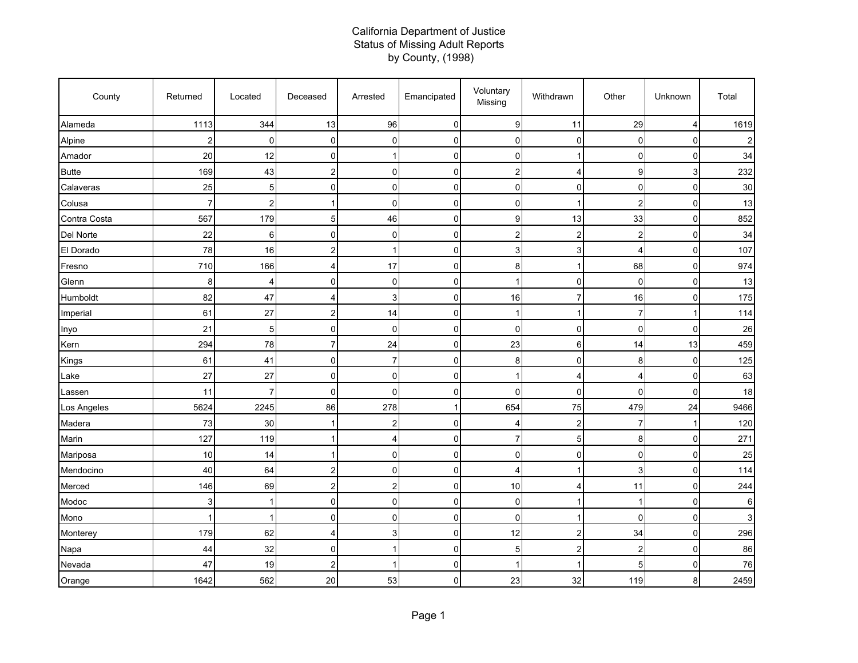## California Department of Justice Status of Missing Adult Reports by County, (1998)

| County       | Returned       | Located | Deceased       | Arrested       | Emancipated | Voluntary<br>Missing | Withdrawn      | Other          | Unknown        | Total |
|--------------|----------------|---------|----------------|----------------|-------------|----------------------|----------------|----------------|----------------|-------|
| Alameda      | 1113           | 344     | 13             | 96             | $\mathbf 0$ | 9                    | 11             | 29             | $\overline{4}$ | 1619  |
| Alpine       | $\overline{c}$ | 0       | $\overline{0}$ | $\mathbf 0$    | 0           | 0                    | $\mathbf 0$    | 0              | $\mathbf 0$    | 2     |
| Amador       | 20             | 12      | $\overline{0}$ | 1              | $\mathsf 0$ | 0                    | 1              | 0              | $\mathbf 0$    | 34    |
| <b>Butte</b> | 169            | 43      | $\overline{c}$ | $\overline{0}$ | 0           | $\overline{c}$       | 4              | 9              | 3              | 232   |
| Calaveras    | 25             | 5       | $\overline{0}$ | $\mathbf 0$    | 0           | 0                    | $\mathbf 0$    | 0              | 0              | 30    |
| Colusa       | $\overline{7}$ | 2       |                | $\overline{0}$ | $\mathbf 0$ | $\mathbf 0$          | 1              | $\overline{2}$ | $\mathbf 0$    | 13    |
| Contra Costa | 567            | 179     | 5 <sub>5</sub> | 46             | 0           | 9                    | 13             | 33             | $\mathbf 0$    | 852   |
| Del Norte    | 22             | 6       | $\overline{0}$ | $\overline{0}$ | 0           | $\overline{c}$       | $\overline{2}$ | $\overline{c}$ | $\mathbf 0$    | 34    |
| El Dorado    | 78             | 16      | $\overline{a}$ | 1              | 0           | 3                    | 3              | 4              | 0              | 107   |
| Fresno       | 710            | 166     | 4              | 17             | 0           | 8                    | 1              | 68             | $\mathbf 0$    | 974   |
| Glenn        | 8              | 4       | $\overline{0}$ | 0              | 0           |                      | $\mathbf 0$    | 0              | $\mathbf 0$    | 13    |
| Humboldt     | 82             | 47      | 4              | 3              | 0           | 16                   | $\overline{7}$ | 16             | 0              | 175   |
| Imperial     | 61             | 27      | $\overline{c}$ | 14             | 0           | -1                   | -1             | $\overline{7}$ | 1              | 114   |
| Inyo         | 21             | 5       | $\overline{0}$ | $\mathbf 0$    | 0           | $\mathbf 0$          | $\mathbf 0$    | 0              | $\mathbf 0$    | 26    |
| Kern         | 294            | 78      | $\overline{7}$ | 24             | 0           | 23                   | 6              | 14             | 13             | 459   |
| Kings        | 61             | 41      | $\overline{0}$ | $\overline{7}$ | 0           | 8                    | $\Omega$       | 8              | $\mathbf 0$    | 125   |
| Lake         | 27             | 27      | $\overline{0}$ | $\overline{0}$ | 0           |                      | 4              | 4              | $\mathbf 0$    | 63    |
| Lassen       | 11             | 7       | $\overline{0}$ | $\mathbf 0$    | 0           | $\mathbf 0$          | $\mathbf 0$    | 0              | $\mathbf 0$    | 18    |
| Los Angeles  | 5624           | 2245    | 86             | 278            | $\mathbf 1$ | 654                  | 75             | 479            | 24             | 9466  |
| Madera       | 73             | 30      | $\mathbf 1$    | $\overline{c}$ | 0           | 4                    | $\overline{2}$ | 7              | 1              | 120   |
| Marin        | 127            | 119     | 1              | $\overline{4}$ | 0           | $\overline{7}$       | 5              | 8              | $\mathbf 0$    | 271   |
| Mariposa     | 10             | 14      |                | $\mathbf 0$    | $\mathbf 0$ | 0                    | 0              | 0              | $\mathbf 0$    | 25    |
| Mendocino    | 40             | 64      | $\overline{2}$ | $\overline{0}$ | 0           | 4                    | 1              | 3              | $\mathbf 0$    | 114   |
| Merced       | 146            | 69      | $\overline{2}$ | 2              | 0           | 10                   | $\overline{4}$ | 11             | $\mathbf 0$    | 244   |
| Modoc        | 3              |         | $\overline{0}$ | $\mathbf 0$    | 0           | $\mathbf 0$          | 1              | 1              | $\mathbf 0$    | 6     |
| Mono         | 1              | -1      | $\overline{0}$ | $\overline{0}$ | 0           | 0                    | 1              | 0              | $\mathbf 0$    | 3     |
| Monterey     | 179            | 62      | $\overline{4}$ | 3              | 0           | 12                   | $\overline{c}$ | 34             | $\pmb{0}$      | 296   |
| Napa         | 44             | 32      | $\overline{0}$ | 1              | 0           | 5                    | $\overline{2}$ | $\overline{2}$ | $\mathbf 0$    | 86    |
| Nevada       | 47             | 19      | $\overline{c}$ | 1              | 0           |                      | 1              | 5              | $\mathbf 0$    | 76    |
| Orange       | 1642           | 562     | 20             | 53             | 0           | 23                   | 32             | 119            | 8              | 2459  |